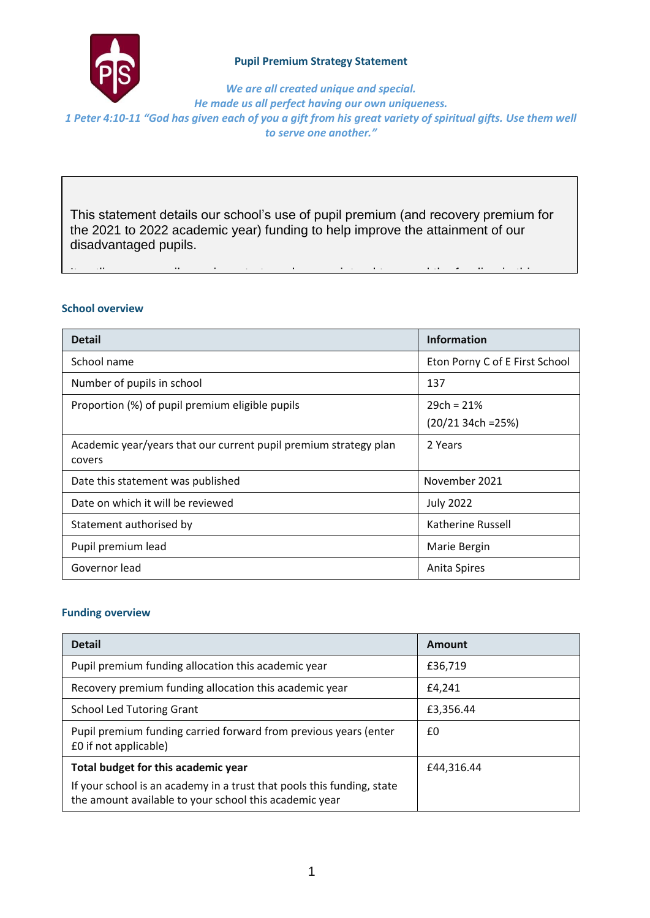

# **Pupil Premium Strategy Statement**

*We are all created unique and special.*

*He made us all perfect having our own uniqueness.*

*1 Peter 4:10-11 "God has given each of you a gift from his great variety of spiritual gifts. Use them well to serve one another."*

This statement details our school's use of pupil premium (and recovery premium for the 2021 to 2022 academic year) funding to help improve the attainment of our disadvantaged pupils.

It outlines our pupil premium strategy, how we intend to spend the funding in this

# **School overview** school.

| <b>Detail</b>                                                              | <b>Information</b>             |
|----------------------------------------------------------------------------|--------------------------------|
| School name                                                                | Eton Porny C of E First School |
| Number of pupils in school                                                 | 137                            |
| Proportion (%) of pupil premium eligible pupils                            | $29ch = 21%$                   |
|                                                                            | $(20/21 34ch = 25%)$           |
| Academic year/years that our current pupil premium strategy plan<br>covers | 2 Years                        |
|                                                                            |                                |
| Date this statement was published                                          | November 2021                  |
| Date on which it will be reviewed                                          | <b>July 2022</b>               |
| Statement authorised by                                                    | Katherine Russell              |
| Pupil premium lead                                                         | Marie Bergin                   |
| Governor lead                                                              | <b>Anita Spires</b>            |

# **Funding overview**

| <b>Detail</b>                                                                                                                    | Amount     |
|----------------------------------------------------------------------------------------------------------------------------------|------------|
| Pupil premium funding allocation this academic year                                                                              | £36,719    |
| Recovery premium funding allocation this academic year                                                                           | £4,241     |
| <b>School Led Tutoring Grant</b>                                                                                                 | £3,356.44  |
| Pupil premium funding carried forward from previous years (enter<br>£0 if not applicable)                                        | £0         |
| Total budget for this academic year                                                                                              | £44,316.44 |
| If your school is an academy in a trust that pools this funding, state<br>the amount available to your school this academic year |            |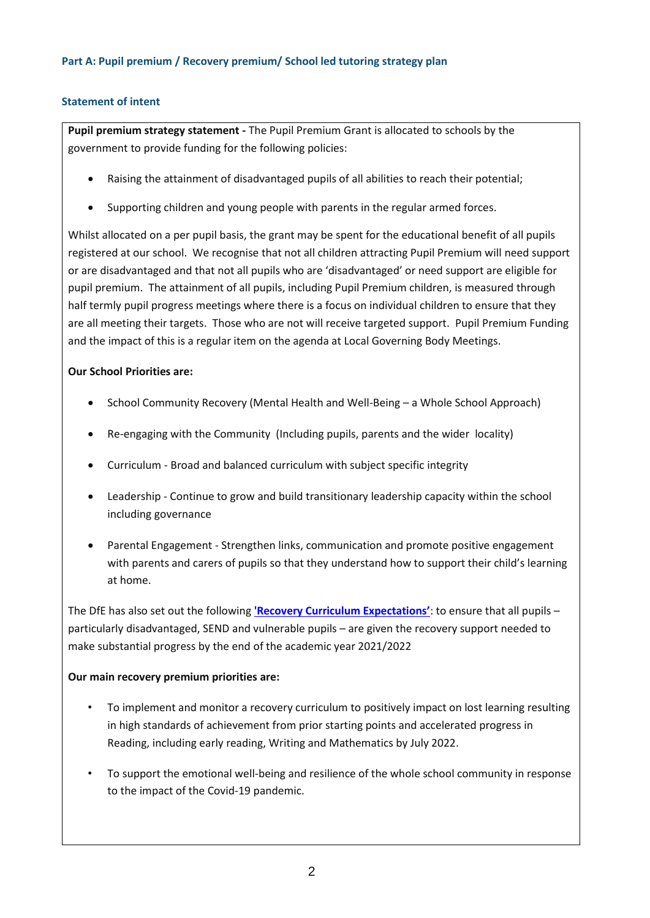#### **Statement of intent**

**Pupil premium strategy statement -** The Pupil Premium Grant is allocated to schools by the government to provide funding for the following policies:

- Raising the attainment of disadvantaged pupils of all abilities to reach their potential;
- Supporting children and young people with parents in the regular armed forces.

Whilst allocated on a per pupil basis, the grant may be spent for the educational benefit of all pupils registered at our school. We recognise that not all children attracting Pupil Premium will need support or are disadvantaged and that not all pupils who are 'disadvantaged' or need support are eligible for pupil premium. The attainment of all pupils, including Pupil Premium children, is measured through half termly pupil progress meetings where there is a focus on individual children to ensure that they are all meeting their targets. Those who are not will receive targeted support. Pupil Premium Funding and the impact of this is a regular item on the agenda at Local Governing Body Meetings.

# **Our School Priorities are:**

- School Community Recovery (Mental Health and Well-Being a Whole School Approach)
- Re-engaging with the Community (Including pupils, parents and the wider locality)
- Curriculum Broad and balanced curriculum with subject specific integrity
- Leadership Continue to grow and build transitionary leadership capacity within the school including governance
- Parental Engagement Strengthen links, communication and promote positive engagement with parents and carers of pupils so that they understand how to support their child's learning at home.

The DfE has also set out the following **['Recovery Curriculum Expectatio](https://www.gov.uk/government/publications/teaching-a-broad-and-balanced-curriculum-for-education-recovery)ns'**: to ensure that all pupils – particularly disadvantaged, SEND and vulnerable pupils – are given the recovery support needed to make substantial progress by the end of the academic year 2021/2022

# **Our main recovery premium priorities are:**

- To implement and monitor a recovery curriculum to positively impact on lost learning resulting in high standards of achievement from prior starting points and accelerated progress in Reading, including early reading, Writing and Mathematics by July 2022.
- To support the emotional well-being and resilience of the whole school community in response to the impact of the Covid-19 pandemic.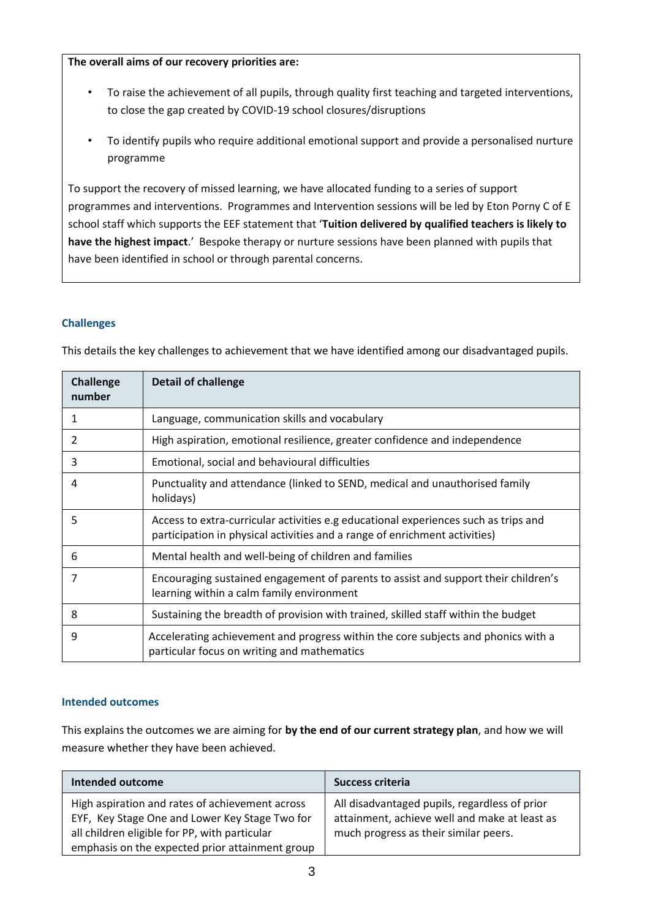**The overall aims of our recovery priorities are:** 

- To raise the achievement of all pupils, through quality first teaching and targeted interventions, to close the gap created by COVID-19 school closures/disruptions
- To identify pupils who require additional emotional support and provide a personalised nurture programme

To support the recovery of missed learning, we have allocated funding to a series of support programmes and interventions. Programmes and Intervention sessions will be led by Eton Porny C of E school staff which supports the EEF statement that '**Tuition delivered by qualified teachers is likely to have the highest impact**.' Bespoke therapy or nurture sessions have been planned with pupils that have been identified in school or through parental concerns.

# **Challenges**

This details the key challenges to achievement that we have identified among our disadvantaged pupils.

| <b>Challenge</b><br>number | <b>Detail of challenge</b>                                                                                                                                        |
|----------------------------|-------------------------------------------------------------------------------------------------------------------------------------------------------------------|
| 1                          | Language, communication skills and vocabulary                                                                                                                     |
| 2                          | High aspiration, emotional resilience, greater confidence and independence                                                                                        |
| 3                          | Emotional, social and behavioural difficulties                                                                                                                    |
| 4                          | Punctuality and attendance (linked to SEND, medical and unauthorised family<br>holidays)                                                                          |
| 5                          | Access to extra-curricular activities e.g educational experiences such as trips and<br>participation in physical activities and a range of enrichment activities) |
| 6                          | Mental health and well-being of children and families                                                                                                             |
| 7                          | Encouraging sustained engagement of parents to assist and support their children's<br>learning within a calm family environment                                   |
| 8                          | Sustaining the breadth of provision with trained, skilled staff within the budget                                                                                 |
| 9                          | Accelerating achievement and progress within the core subjects and phonics with a<br>particular focus on writing and mathematics                                  |

# **Intended outcomes**

This explains the outcomes we are aiming for **by the end of our current strategy plan**, and how we will measure whether they have been achieved.

| Intended outcome                                                                                                                                                                                      | <b>Success criteria</b>                                                                                                                 |
|-------------------------------------------------------------------------------------------------------------------------------------------------------------------------------------------------------|-----------------------------------------------------------------------------------------------------------------------------------------|
| High aspiration and rates of achievement across<br>EYF, Key Stage One and Lower Key Stage Two for<br>all children eligible for PP, with particular<br>emphasis on the expected prior attainment group | All disadvantaged pupils, regardless of prior<br>attainment, achieve well and make at least as<br>much progress as their similar peers. |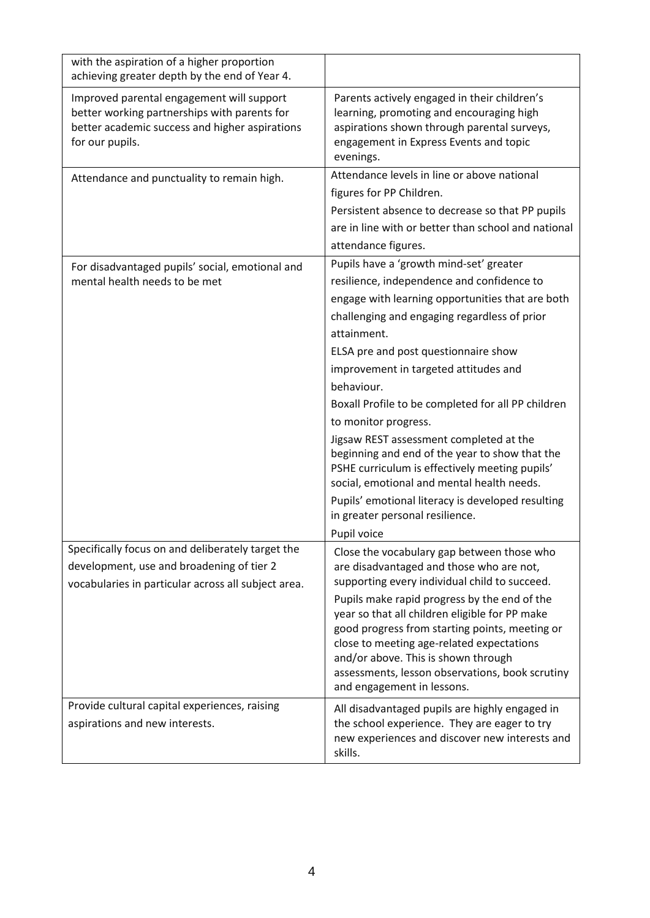| with the aspiration of a higher proportion<br>achieving greater depth by the end of Year 4.                                                                    |                                                                                                                                                                                                                                                                                                                                                                                                                                                                                                                                                                                                                                                                            |
|----------------------------------------------------------------------------------------------------------------------------------------------------------------|----------------------------------------------------------------------------------------------------------------------------------------------------------------------------------------------------------------------------------------------------------------------------------------------------------------------------------------------------------------------------------------------------------------------------------------------------------------------------------------------------------------------------------------------------------------------------------------------------------------------------------------------------------------------------|
| Improved parental engagement will support<br>better working partnerships with parents for<br>better academic success and higher aspirations<br>for our pupils. | Parents actively engaged in their children's<br>learning, promoting and encouraging high<br>aspirations shown through parental surveys,<br>engagement in Express Events and topic<br>evenings.                                                                                                                                                                                                                                                                                                                                                                                                                                                                             |
| Attendance and punctuality to remain high.                                                                                                                     | Attendance levels in line or above national<br>figures for PP Children.<br>Persistent absence to decrease so that PP pupils<br>are in line with or better than school and national<br>attendance figures.                                                                                                                                                                                                                                                                                                                                                                                                                                                                  |
| For disadvantaged pupils' social, emotional and<br>mental health needs to be met                                                                               | Pupils have a 'growth mind-set' greater<br>resilience, independence and confidence to<br>engage with learning opportunities that are both<br>challenging and engaging regardless of prior<br>attainment.<br>ELSA pre and post questionnaire show<br>improvement in targeted attitudes and<br>behaviour.<br>Boxall Profile to be completed for all PP children<br>to monitor progress.<br>Jigsaw REST assessment completed at the<br>beginning and end of the year to show that the<br>PSHE curriculum is effectively meeting pupils'<br>social, emotional and mental health needs.<br>Pupils' emotional literacy is developed resulting<br>in greater personal resilience. |
| Specifically focus on and deliberately target the<br>development, use and broadening of tier 2<br>vocabularies in particular across all subject area.          | Pupil voice<br>Close the vocabulary gap between those who<br>are disadvantaged and those who are not,<br>supporting every individual child to succeed.<br>Pupils make rapid progress by the end of the<br>year so that all children eligible for PP make<br>good progress from starting points, meeting or<br>close to meeting age-related expectations<br>and/or above. This is shown through<br>assessments, lesson observations, book scrutiny<br>and engagement in lessons.                                                                                                                                                                                            |
| Provide cultural capital experiences, raising<br>aspirations and new interests.                                                                                | All disadvantaged pupils are highly engaged in<br>the school experience. They are eager to try<br>new experiences and discover new interests and<br>skills.                                                                                                                                                                                                                                                                                                                                                                                                                                                                                                                |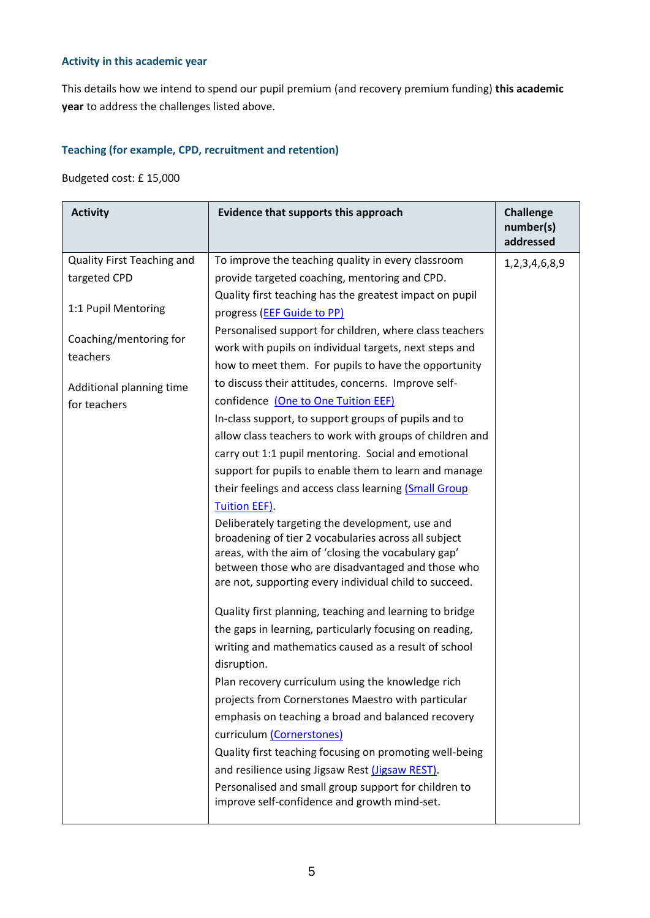# **Activity in this academic year**

This details how we intend to spend our pupil premium (and recovery premium funding) **this academic year** to address the challenges listed above.

# **Teaching (for example, CPD, recruitment and retention)**

Budgeted cost: £ 15,000

| <b>Activity</b>            | Evidence that supports this approach                                                                                                                                                                                                                                          | <b>Challenge</b><br>number(s)<br>addressed |
|----------------------------|-------------------------------------------------------------------------------------------------------------------------------------------------------------------------------------------------------------------------------------------------------------------------------|--------------------------------------------|
| Quality First Teaching and | To improve the teaching quality in every classroom                                                                                                                                                                                                                            | 1,2,3,4,6,8,9                              |
| targeted CPD               | provide targeted coaching, mentoring and CPD.                                                                                                                                                                                                                                 |                                            |
|                            | Quality first teaching has the greatest impact on pupil                                                                                                                                                                                                                       |                                            |
| 1:1 Pupil Mentoring        | progress (EEF Guide to PP)                                                                                                                                                                                                                                                    |                                            |
| Coaching/mentoring for     | Personalised support for children, where class teachers                                                                                                                                                                                                                       |                                            |
| teachers                   | work with pupils on individual targets, next steps and                                                                                                                                                                                                                        |                                            |
|                            | how to meet them. For pupils to have the opportunity                                                                                                                                                                                                                          |                                            |
| Additional planning time   | to discuss their attitudes, concerns. Improve self-                                                                                                                                                                                                                           |                                            |
| for teachers               | confidence (One to One Tuition EEF)                                                                                                                                                                                                                                           |                                            |
|                            | In-class support, to support groups of pupils and to                                                                                                                                                                                                                          |                                            |
|                            | allow class teachers to work with groups of children and                                                                                                                                                                                                                      |                                            |
|                            | carry out 1:1 pupil mentoring. Social and emotional                                                                                                                                                                                                                           |                                            |
|                            | support for pupils to enable them to learn and manage                                                                                                                                                                                                                         |                                            |
|                            | their feelings and access class learning (Small Group                                                                                                                                                                                                                         |                                            |
|                            | <b>Tuition EEF).</b>                                                                                                                                                                                                                                                          |                                            |
|                            | Deliberately targeting the development, use and<br>broadening of tier 2 vocabularies across all subject<br>areas, with the aim of 'closing the vocabulary gap'<br>between those who are disadvantaged and those who<br>are not, supporting every individual child to succeed. |                                            |
|                            | Quality first planning, teaching and learning to bridge                                                                                                                                                                                                                       |                                            |
|                            | the gaps in learning, particularly focusing on reading,                                                                                                                                                                                                                       |                                            |
|                            | writing and mathematics caused as a result of school                                                                                                                                                                                                                          |                                            |
|                            | disruption.                                                                                                                                                                                                                                                                   |                                            |
|                            | Plan recovery curriculum using the knowledge rich                                                                                                                                                                                                                             |                                            |
|                            | projects from Cornerstones Maestro with particular                                                                                                                                                                                                                            |                                            |
|                            | emphasis on teaching a broad and balanced recovery                                                                                                                                                                                                                            |                                            |
|                            | curriculum (Cornerstones)                                                                                                                                                                                                                                                     |                                            |
|                            | Quality first teaching focusing on promoting well-being                                                                                                                                                                                                                       |                                            |
|                            | and resilience using Jigsaw Rest (Jigsaw REST).                                                                                                                                                                                                                               |                                            |
|                            | Personalised and small group support for children to                                                                                                                                                                                                                          |                                            |
|                            | improve self-confidence and growth mind-set.                                                                                                                                                                                                                                  |                                            |
|                            |                                                                                                                                                                                                                                                                               |                                            |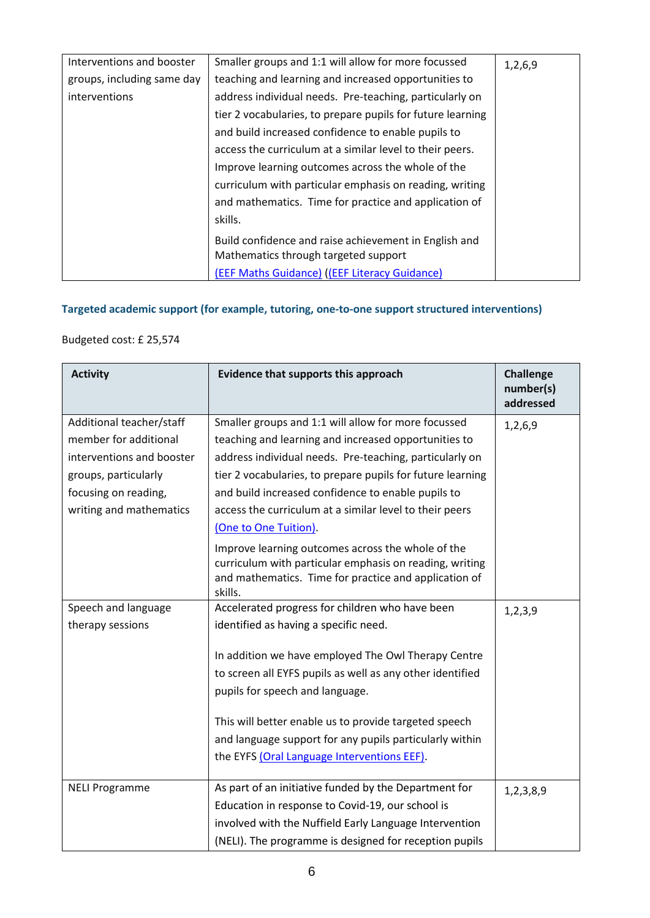| Interventions and booster  | Smaller groups and 1:1 will allow for more focussed        | 1,2,6,9 |
|----------------------------|------------------------------------------------------------|---------|
| groups, including same day | teaching and learning and increased opportunities to       |         |
| interventions              | address individual needs. Pre-teaching, particularly on    |         |
|                            | tier 2 vocabularies, to prepare pupils for future learning |         |
|                            | and build increased confidence to enable pupils to         |         |
|                            | access the curriculum at a similar level to their peers.   |         |
|                            | Improve learning outcomes across the whole of the          |         |
|                            | curriculum with particular emphasis on reading, writing    |         |
|                            | and mathematics. Time for practice and application of      |         |
|                            | skills.                                                    |         |
|                            | Build confidence and raise achievement in English and      |         |
|                            | Mathematics through targeted support                       |         |
|                            | (EEF Maths Guidance) ((EEF Literacy Guidance)              |         |

# **Targeted academic support (for example, tutoring, one-to-one support structured interventions)**

# Budgeted cost: £ 25,574

| <b>Activity</b>           | Evidence that supports this approach                             | <b>Challenge</b><br>number(s)<br>addressed |
|---------------------------|------------------------------------------------------------------|--------------------------------------------|
| Additional teacher/staff  | Smaller groups and 1:1 will allow for more focussed              | 1,2,6,9                                    |
| member for additional     | teaching and learning and increased opportunities to             |                                            |
| interventions and booster | address individual needs. Pre-teaching, particularly on          |                                            |
| groups, particularly      | tier 2 vocabularies, to prepare pupils for future learning       |                                            |
| focusing on reading,      | and build increased confidence to enable pupils to               |                                            |
| writing and mathematics   | access the curriculum at a similar level to their peers          |                                            |
|                           | (One to One Tuition).                                            |                                            |
|                           | Improve learning outcomes across the whole of the                |                                            |
|                           | curriculum with particular emphasis on reading, writing          |                                            |
|                           | and mathematics. Time for practice and application of<br>skills. |                                            |
| Speech and language       | Accelerated progress for children who have been                  | 1, 2, 3, 9                                 |
| therapy sessions          | identified as having a specific need.                            |                                            |
|                           | In addition we have employed The Owl Therapy Centre              |                                            |
|                           | to screen all EYFS pupils as well as any other identified        |                                            |
|                           | pupils for speech and language.                                  |                                            |
|                           | This will better enable us to provide targeted speech            |                                            |
|                           | and language support for any pupils particularly within          |                                            |
|                           | the EYFS (Oral Language Interventions EEF).                      |                                            |
| <b>NELI Programme</b>     | As part of an initiative funded by the Department for            | 1,2,3,8,9                                  |
|                           | Education in response to Covid-19, our school is                 |                                            |
|                           | involved with the Nuffield Early Language Intervention           |                                            |
|                           | (NELI). The programme is designed for reception pupils           |                                            |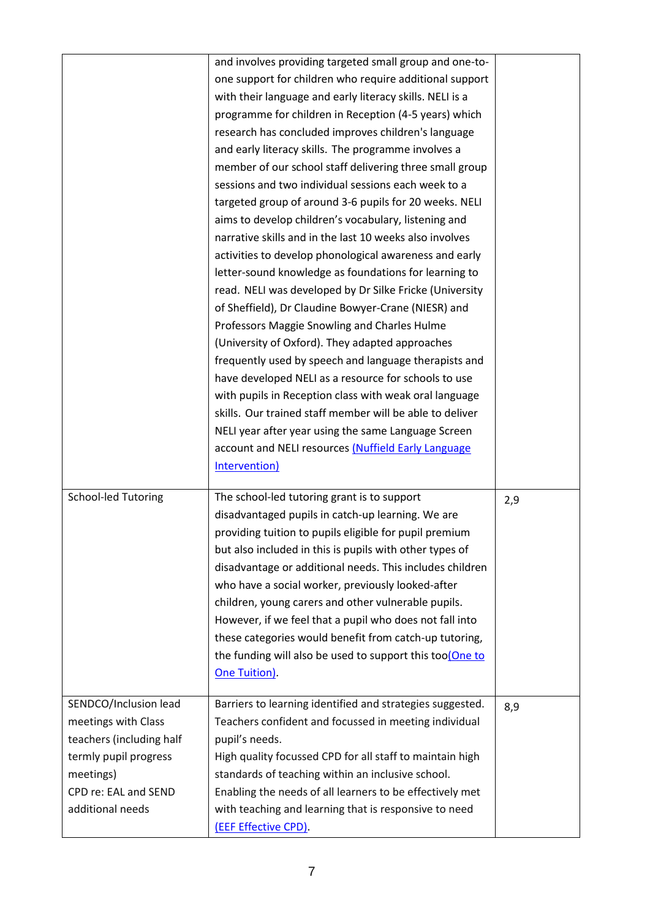|                          | and involves providing targeted small group and one-to-                       |     |
|--------------------------|-------------------------------------------------------------------------------|-----|
|                          | one support for children who require additional support                       |     |
|                          | with their language and early literacy skills. NELI is a                      |     |
|                          | programme for children in Reception (4-5 years) which                         |     |
|                          | research has concluded improves children's language                           |     |
|                          | and early literacy skills. The programme involves a                           |     |
|                          | member of our school staff delivering three small group                       |     |
|                          | sessions and two individual sessions each week to a                           |     |
|                          | targeted group of around 3-6 pupils for 20 weeks. NELI                        |     |
|                          | aims to develop children's vocabulary, listening and                          |     |
|                          | narrative skills and in the last 10 weeks also involves                       |     |
|                          | activities to develop phonological awareness and early                        |     |
|                          | letter-sound knowledge as foundations for learning to                         |     |
|                          | read. NELI was developed by Dr Silke Fricke (University                       |     |
|                          | of Sheffield), Dr Claudine Bowyer-Crane (NIESR) and                           |     |
|                          | Professors Maggie Snowling and Charles Hulme                                  |     |
|                          | (University of Oxford). They adapted approaches                               |     |
|                          | frequently used by speech and language therapists and                         |     |
|                          | have developed NELI as a resource for schools to use                          |     |
|                          | with pupils in Reception class with weak oral language                        |     |
|                          | skills. Our trained staff member will be able to deliver                      |     |
|                          | NELI year after year using the same Language Screen                           |     |
|                          | account and NELI resources (Nuffield Early Language                           |     |
|                          | Intervention)                                                                 |     |
|                          |                                                                               |     |
| School-led Tutoring      | The school-led tutoring grant is to support                                   | 2,9 |
|                          | disadvantaged pupils in catch-up learning. We are                             |     |
|                          | providing tuition to pupils eligible for pupil premium                        |     |
|                          | but also included in this is pupils with other types of                       |     |
|                          | disadvantage or additional needs. This includes children                      |     |
|                          | who have a social worker, previously looked-after                             |     |
|                          | children, young carers and other vulnerable pupils.                           |     |
|                          | However, if we feel that a pupil who does not fall into                       |     |
|                          | these categories would benefit from catch-up tutoring,                        |     |
|                          | the funding will also be used to support this too(One to                      |     |
|                          | One Tuition).                                                                 |     |
|                          |                                                                               |     |
| SENDCO/Inclusion lead    | Barriers to learning identified and strategies suggested.                     | 8,9 |
| meetings with Class      | Teachers confident and focussed in meeting individual                         |     |
| teachers (including half | pupil's needs.                                                                |     |
| termly pupil progress    | High quality focussed CPD for all staff to maintain high                      |     |
| meetings)                | standards of teaching within an inclusive school.                             |     |
| CPD re: EAL and SEND     | Enabling the needs of all learners to be effectively met                      |     |
|                          |                                                                               |     |
| additional needs         | with teaching and learning that is responsive to need<br>(EEF Effective CPD). |     |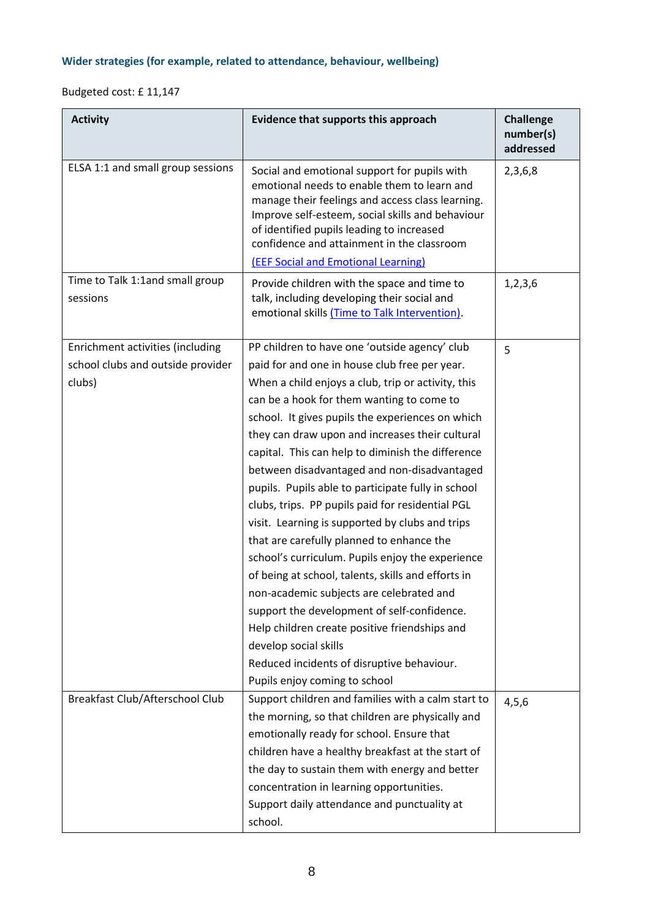# **Wider strategies (for example, related to attendance, behaviour, wellbeing)**

Budgeted cost: £ 11,147

| <b>Activity</b>                                                                 | <b>Evidence that supports this approach</b>                                                                                                                                                                                                                                                                                                                                                                                                                                                                                                                                                                                                                                                                                                                                                                                                                                                                                                                                          | <b>Challenge</b><br>number(s)<br>addressed |
|---------------------------------------------------------------------------------|--------------------------------------------------------------------------------------------------------------------------------------------------------------------------------------------------------------------------------------------------------------------------------------------------------------------------------------------------------------------------------------------------------------------------------------------------------------------------------------------------------------------------------------------------------------------------------------------------------------------------------------------------------------------------------------------------------------------------------------------------------------------------------------------------------------------------------------------------------------------------------------------------------------------------------------------------------------------------------------|--------------------------------------------|
| ELSA 1:1 and small group sessions                                               | Social and emotional support for pupils with<br>emotional needs to enable them to learn and<br>manage their feelings and access class learning.<br>Improve self-esteem, social skills and behaviour<br>of identified pupils leading to increased<br>confidence and attainment in the classroom<br><b>(EEF Social and Emotional Learning)</b>                                                                                                                                                                                                                                                                                                                                                                                                                                                                                                                                                                                                                                         | 2,3,6,8                                    |
| Time to Talk 1:1and small group<br>sessions                                     | Provide children with the space and time to<br>talk, including developing their social and<br>emotional skills (Time to Talk Intervention).                                                                                                                                                                                                                                                                                                                                                                                                                                                                                                                                                                                                                                                                                                                                                                                                                                          | 1,2,3,6                                    |
| Enrichment activities (including<br>school clubs and outside provider<br>clubs) | PP children to have one 'outside agency' club<br>paid for and one in house club free per year.<br>When a child enjoys a club, trip or activity, this<br>can be a hook for them wanting to come to<br>school. It gives pupils the experiences on which<br>they can draw upon and increases their cultural<br>capital. This can help to diminish the difference<br>between disadvantaged and non-disadvantaged<br>pupils. Pupils able to participate fully in school<br>clubs, trips. PP pupils paid for residential PGL<br>visit. Learning is supported by clubs and trips<br>that are carefully planned to enhance the<br>school's curriculum. Pupils enjoy the experience<br>of being at school, talents, skills and efforts in<br>non-academic subjects are celebrated and<br>support the development of self-confidence.<br>Help children create positive friendships and<br>develop social skills<br>Reduced incidents of disruptive behaviour.<br>Pupils enjoy coming to school | 5                                          |
| Breakfast Club/Afterschool Club                                                 | Support children and families with a calm start to<br>the morning, so that children are physically and<br>emotionally ready for school. Ensure that<br>children have a healthy breakfast at the start of<br>the day to sustain them with energy and better<br>concentration in learning opportunities.<br>Support daily attendance and punctuality at<br>school.                                                                                                                                                                                                                                                                                                                                                                                                                                                                                                                                                                                                                     | 4, 5, 6                                    |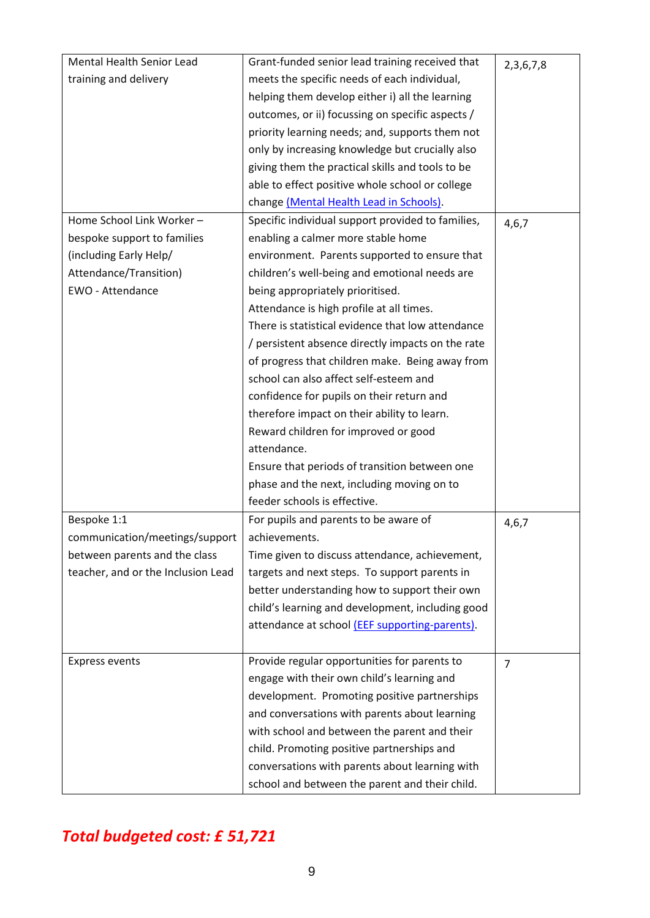| Mental Health Senior Lead          | Grant-funded senior lead training received that   | 2, 3, 6, 7, 8  |
|------------------------------------|---------------------------------------------------|----------------|
| training and delivery              | meets the specific needs of each individual,      |                |
|                                    | helping them develop either i) all the learning   |                |
|                                    | outcomes, or ii) focussing on specific aspects /  |                |
|                                    | priority learning needs; and, supports them not   |                |
|                                    | only by increasing knowledge but crucially also   |                |
|                                    | giving them the practical skills and tools to be  |                |
|                                    | able to effect positive whole school or college   |                |
|                                    | change (Mental Health Lead in Schools).           |                |
| Home School Link Worker-           | Specific individual support provided to families, | 4,6,7          |
| bespoke support to families        | enabling a calmer more stable home                |                |
| (including Early Help/             | environment. Parents supported to ensure that     |                |
| Attendance/Transition)             | children's well-being and emotional needs are     |                |
| EWO - Attendance                   | being appropriately prioritised.                  |                |
|                                    | Attendance is high profile at all times.          |                |
|                                    | There is statistical evidence that low attendance |                |
|                                    | / persistent absence directly impacts on the rate |                |
|                                    | of progress that children make. Being away from   |                |
|                                    | school can also affect self-esteem and            |                |
|                                    | confidence for pupils on their return and         |                |
|                                    | therefore impact on their ability to learn.       |                |
|                                    | Reward children for improved or good              |                |
|                                    | attendance.                                       |                |
|                                    | Ensure that periods of transition between one     |                |
|                                    | phase and the next, including moving on to        |                |
|                                    | feeder schools is effective.                      |                |
| Bespoke 1:1                        | For pupils and parents to be aware of             | 4,6,7          |
| communication/meetings/support     | achievements.                                     |                |
| between parents and the class      | Time given to discuss attendance, achievement,    |                |
| teacher, and or the Inclusion Lead | targets and next steps. To support parents in     |                |
|                                    | better understanding how to support their own     |                |
|                                    | child's learning and development, including good  |                |
|                                    | attendance at school (EEF supporting-parents).    |                |
|                                    |                                                   |                |
| <b>Express events</b>              | Provide regular opportunities for parents to      | $\overline{7}$ |
|                                    | engage with their own child's learning and        |                |
|                                    | development. Promoting positive partnerships      |                |
|                                    | and conversations with parents about learning     |                |
|                                    | with school and between the parent and their      |                |
|                                    | child. Promoting positive partnerships and        |                |
|                                    | conversations with parents about learning with    |                |
|                                    | school and between the parent and their child.    |                |

# *Total budgeted cost: £ 51,721*